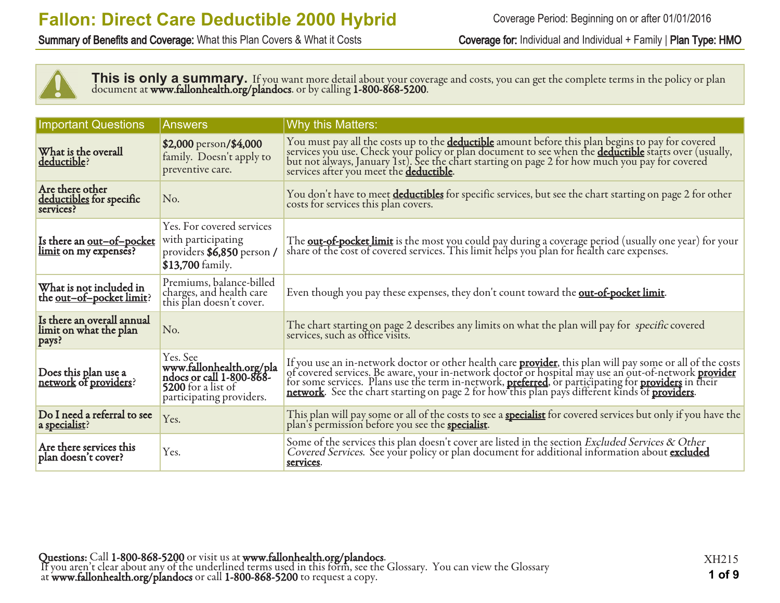Summary of Benefits and Coverage: What this Plan Covers & What it Costs Coverage for: Individual and Individual + Family | Plan Type: HMO



This is only a summary. If you want more detail about your coverage and costs, you can get the complete terms in the policy or plan document at **www.fallonhealth.org/plandocs**. or by calling **1-800-868-5200**.

| <b>Important Questions</b>                                  | <b>Answers</b>                                                                                                     | Why this Matters:                                                                                                                                                                                                                                                                         |
|-------------------------------------------------------------|--------------------------------------------------------------------------------------------------------------------|-------------------------------------------------------------------------------------------------------------------------------------------------------------------------------------------------------------------------------------------------------------------------------------------|
| What is the overall<br>deductible?                          | \$2,000 person/\$4,000<br>family. Doesn't apply to<br>preventive care.                                             | You must pay all the costs up to the <b>deductible</b> amount before this plan begins to pay for covered<br>services you use. Check your policy or plan document to see when the <b>deductible</b> starts over (usually,<br>but not always, Ja<br>services after you meet the deductible. |
| Are there other<br>deductibles for specific<br>services?    | No.                                                                                                                | You don't have to meet deductibles for specific services, but see the chart starting on page 2 for other<br>costs for services this plan covers.                                                                                                                                          |
| Is there an <u>out-of-pocket</u><br>limit on my expenses?   | Yes. For covered services<br>with participating<br>providers \$6,850 person /<br>\$13,700 family.                  | The <b>out-of-pocket limit</b> is the most you could pay during a coverage period (usually one year) for your<br>share of the cost of covered services. This limit helps you plan for health care expenses.                                                                               |
| What is not included in<br>the <u>out-of-pocket limit</u> ? | Premiums, balance-billed<br>charges, and health care<br>this plan doesn't cover.                                   | Even though you pay these expenses, they don't count toward the <b>out-of-pocket limit</b> .                                                                                                                                                                                              |
| Is there an overall annual<br>limit on what the plan        | No.                                                                                                                | The chart starting on page 2 describes any limits on what the plan will pay for specific covered<br>services, such as office visits.                                                                                                                                                      |
| Does this plan use a<br>network of providers?               | Yes. See<br>www.fallonhealth.org/pla<br>ndocs or call 1-800-868-<br>5200 for a list of<br>participating providers. | If you use an in-network doctor or other health care <b>provider</b> , this plan will pay some or all of the costs of covered services. Be aware, your in-network doctor or hospital may use an out-of-network <b>provider</b> for some s                                                 |
| Do I need a referral to see<br>a specialist?                | Yes.                                                                                                               | This plan will pay some or all of the costs to see a <b>specialist</b> for covered services but only if you have the plan's permission before you see the <b>specialist</b> .                                                                                                             |
| Are there services this<br>plan doesn't cover?              | Yes.                                                                                                               | Some of the services this plan doesn't cover are listed in the section Excluded Services & Other<br>Covered Services. See your policy or plan document for additional information about excluded<br>services.                                                                             |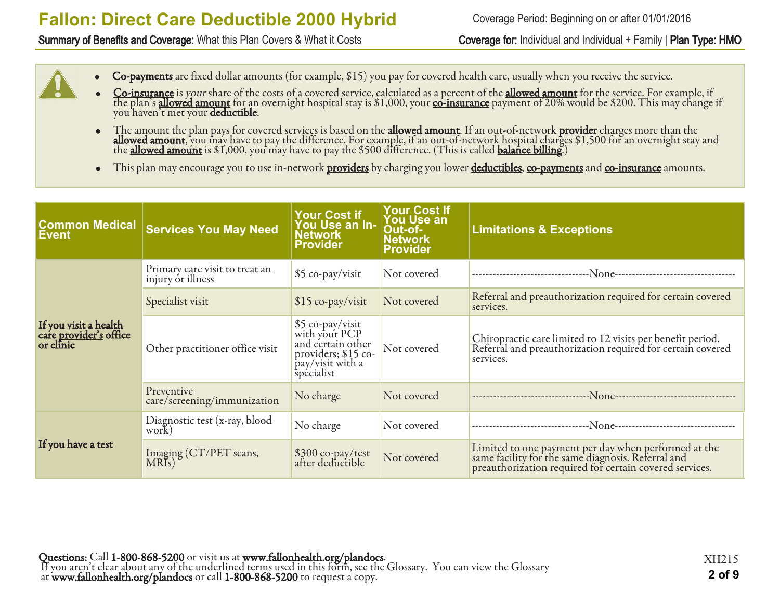#### Summary of Benefits and Coverage: What this Plan Covers & What it Costs Coverage for: Individual and Individual + Family | Plan Type: HMO

Coverage Period: Beginning on or after 01/01/2016

- Co-payments are fixed dollar amounts (for example, \$15) you pay for covered health care, usually when you receive the service.
- Co-insurance is your share of the costs of a covered service, calculated as a percent of the allowed amount for the service. For example, if the plan's <u>allowed amount</u> for an overnight hospital stay is \$1,000, your <u>co-insurance</u> payment of 20% would be \$200. This may change if you haven't met your <mark>deductible</mark>.
- The amount the plan pays for covered services is based on the **allowed amount**. If an out-of-network **provider** charges more than the **allowed amount**, you may have to pay the difference. For example, if an out-of-network hospital charges \$1,500 for an overnight stay and the <u>allowed amount</u> is \$1,000, you may have to pay the \$500 difference. (This is called <u>balance billing</u>.)
- This plan may encourage you to use in-network providers by charging you lower <u>deductibles, co-payments</u> and <u>co-insurance</u> amounts.

| <b>Common Medical</b><br><b>Event</b>                               | <b>Services You May Need</b>                        | Your Cost if<br>You Use an In-<br><b>Network</b><br><b>Provider</b>                                              | <b>Your Cost If</b><br><b>You Use an</b><br>Out-of-<br><b>Network</b><br><b>Provider</b> | <b>Limitations &amp; Exceptions</b>                                                                                                                                   |
|---------------------------------------------------------------------|-----------------------------------------------------|------------------------------------------------------------------------------------------------------------------|------------------------------------------------------------------------------------------|-----------------------------------------------------------------------------------------------------------------------------------------------------------------------|
|                                                                     | Primary care visit to treat an<br>injury or illness | \$5 co-pay/visit                                                                                                 | Not covered                                                                              |                                                                                                                                                                       |
|                                                                     | Specialist visit                                    | $$15$ co-pay/visit                                                                                               | Not covered                                                                              | Referral and preauthorization required for certain covered<br>services.                                                                                               |
| If you visit a health<br>care <u>provider's</u> office<br>or clinic | Other practitioner office visit                     | \$5 co-pay/visit<br>with your PCP<br>and certain other<br>providers; $$15$ co-<br>pay/visit with a<br>specialist | Not covered                                                                              | Chiropractic care limited to 12 visits per benefit period.<br>Referral and preauthorization required for certain covered<br>services.                                 |
|                                                                     | Preventive<br>care/screening/immunization           | No charge                                                                                                        | Not covered                                                                              |                                                                                                                                                                       |
|                                                                     | Diagnostic test (x-ray, blood<br>work)              | No charge                                                                                                        | Not covered                                                                              | ---None--------------------------<br>-------------------------------                                                                                                  |
| If you have a test                                                  | Imaging (CT/PET scans,<br>MRIs)                     | \$300 co-pay/test<br>after deductible                                                                            | Not covered                                                                              | Limited to one payment per day when performed at the<br>same facility for the same diagnosis. Referral and<br>preauthorization required for certain covered services. |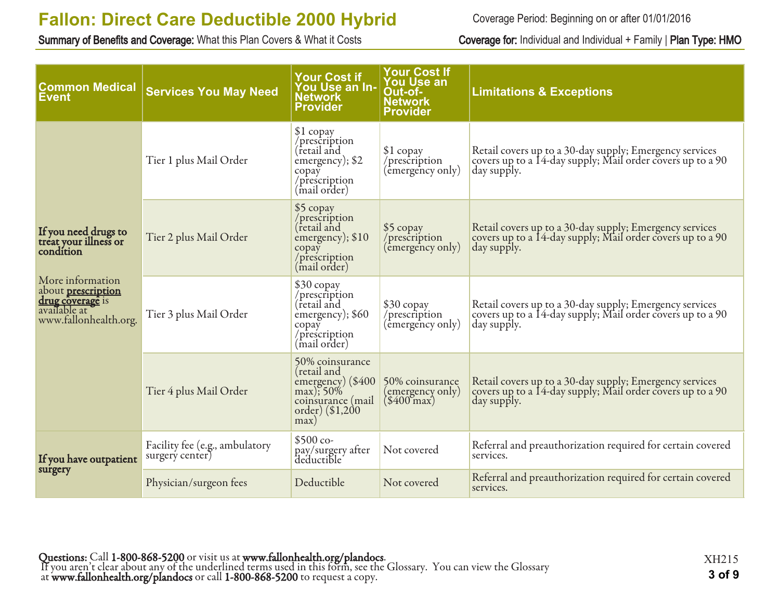Summary of Benefits and Coverage: What this Plan Covers & What it Costs Coverage for: Individual and Individual + Family | Plan Type: HMO

Coverage Period: Beginning on or after 01/01/2016

| <b>Common Medical</b><br><u>Event</u>                                                      | <b>Services You May Need</b>                      | <b>Your Cost if</b><br>You Use an In-<br><b>Network</b><br><b>Provider</b>                                       | <b>Your Cost If</b><br><b>You Use an</b><br>Out-of-<br><b>Network</b><br>Provider | <b>Limitations &amp; Exceptions</b>                                                                                                  |
|--------------------------------------------------------------------------------------------|---------------------------------------------------|------------------------------------------------------------------------------------------------------------------|-----------------------------------------------------------------------------------|--------------------------------------------------------------------------------------------------------------------------------------|
|                                                                                            | Tier 1 plus Mail Order                            | \$1 copay<br>/prescription<br>(retail and<br>emergency); \$2<br>copay<br>/prescription<br>(mail order)           | $$1$ copay<br>/prescription<br>(emergency only)                                   | Retail covers up to a 30-day supply; Emergency services<br>covers up to a 14-day supply; Mail order covers up to a 90<br>day supply. |
| If you need drugs to<br>treat your illness or<br>condítion                                 | Tier 2 plus Mail Order                            | \$5 copay<br>/prescription<br>(retail and<br>emergency); \$10<br>copay<br>/prescription<br>(mail order)          | \$5 copay<br>/prescription<br>(emergency only)                                    | Retail covers up to a 30-day supply; Emergency services<br>covers up to a 14-day supply; Mail order covers up to a 90<br>day supply. |
| More information<br>about <b>prescription</b><br>drug coverage is<br>www.fallonhealth.org. | Tier 3 plus Mail Order                            | \$30 copay<br>/prescription<br>(retail and<br>emergency); \$60<br>copay<br>/prescription<br>(mail order)         | \$30 copay<br>/prescription<br>(emergency only)                                   | Retail covers up to a 30-day supply; Emergency services<br>covers up to a 14-day supply; Mail order covers up to a 90<br>day supply. |
|                                                                                            | Tier 4 plus Mail Order                            | 50% coinsurance<br>(retail and<br>emergency) (\$400<br>max); 50%<br>coinsurance (mail<br>order) (\$1,200<br>max) | 50% coinsurance<br>(emergency only)<br>$(\$400$ max)                              | Retail covers up to a 30-day supply; Emergency services<br>covers up to a 14-day supply; Mail order covers up to a 90<br>day supply. |
| If you have outpatient                                                                     | Facility fee (e.g., ambulatory<br>surgery center) | $$500 co-$<br>pay/surgery after<br>deductible                                                                    | Not covered                                                                       | Referral and preauthorization required for certain covered<br>services.                                                              |
| surgery                                                                                    | Physician/surgeon fees                            | Deductible                                                                                                       | Not covered                                                                       | Referral and preauthorization required for certain covered<br>services.                                                              |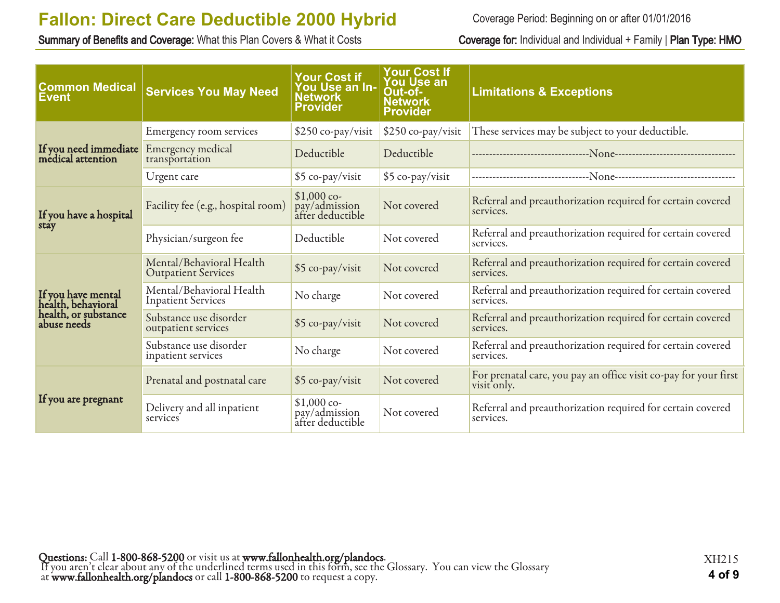Summary of Benefits and Coverage: What this Plan Covers & What it Costs Coverage for: Individual and Individual + Family | Plan Type: HMO

Coverage Period: Beginning on or after 01/01/2016

| <b>Common Medical</b><br><b>Event</b>      | <b>Services You May Need</b>                           | <b>Your Cost if</b><br>You Use an In-<br>Network<br><b>Provider</b> | <b>Your Cost If</b><br><b>You Use an</b><br>Out-of-<br><b>Network</b><br><b>Provider</b> | <b>Limitations &amp; Exceptions</b>                                             |
|--------------------------------------------|--------------------------------------------------------|---------------------------------------------------------------------|------------------------------------------------------------------------------------------|---------------------------------------------------------------------------------|
|                                            | Emergency room services                                | \$250 co-pay/visit                                                  | \$250 co-pay/visit                                                                       | These services may be subject to your deductible.                               |
| If you need immediate<br>medical attention | Emergency medical<br>transportation                    | Deductible                                                          | Deductible                                                                               |                                                                                 |
|                                            | Urgent care                                            | \$5 co-pay/visit                                                    | \$5 co-pay/visit                                                                         |                                                                                 |
| If you have a hospital                     | Facility fee (e.g., hospital room)                     | $$1,000$ co-<br>pay/admission<br>after deductible                   | Not covered                                                                              | Referral and preauthorization required for certain covered<br>services.         |
| stay                                       | Physician/surgeon fee                                  | Deductible                                                          | Not covered                                                                              | Referral and preauthorization required for certain covered<br>services.         |
|                                            | Mental/Behavioral Health<br><b>Outpatient Services</b> | \$5 co-pay/visit                                                    | Not covered                                                                              | Referral and preauthorization required for certain covered<br>services.         |
| If you have mental<br>health, behavioral   | Mental/Behavioral Health<br><b>Inpatient Services</b>  | No charge                                                           | Not covered                                                                              | Referral and preauthorization required for certain covered<br>services.         |
| health, or substance<br>abuse needs        | Substance use disorder<br>outpatient services          | \$5 co-pay/visit                                                    | Not covered                                                                              | Referral and preauthorization required for certain covered<br>services.         |
|                                            | Substance use disorder<br>inpatient services           | No charge                                                           | Not covered                                                                              | Referral and preauthorization required for certain covered<br>services.         |
|                                            | Prenatal and postnatal care                            | \$5 co-pay/visit                                                    | Not covered                                                                              | For prenatal care, you pay an office visit co-pay for your first<br>visit only. |
| If you are pregnant                        | Delivery and all inpatient<br>services                 | $$1,000$ co-<br>pay/admission<br>after deductible                   | Not covered                                                                              | Referral and preauthorization required for certain covered<br>services.         |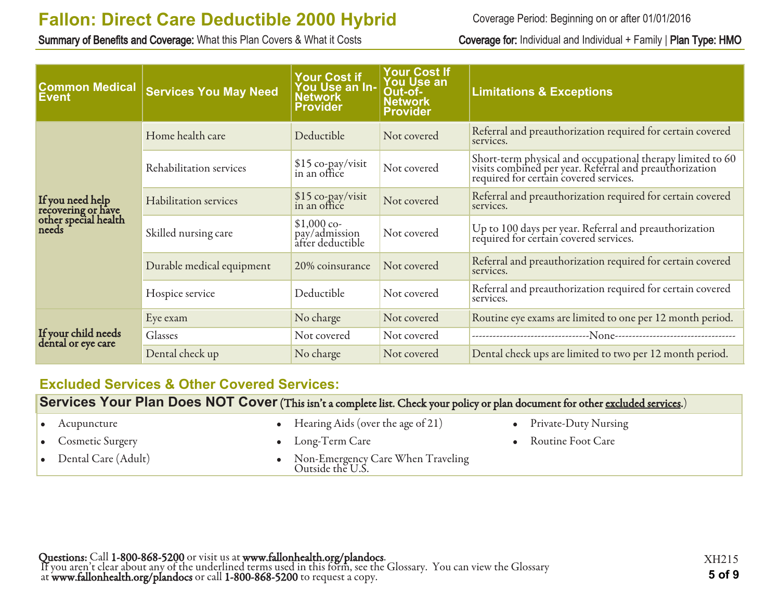Summary of Benefits and Coverage: What this Plan Covers & What it Costs Coverage for: Individual and Individual + Family | Plan Type: HMO

Coverage Period: Beginning on or after 01/01/2016

| <b>Common Medical</b><br>∣Event                                         | <b>Services You May Need</b> | <b>Your Cost if</b><br>You Use an In-<br><b>Network</b><br><b>Provider</b> | <b>Your Cost If</b><br><b>You Use an</b><br>Out-of-<br><b>Network</b><br><b>Provider</b> | <b>Limitations &amp; Exceptions</b>                                                                                                                             |
|-------------------------------------------------------------------------|------------------------------|----------------------------------------------------------------------------|------------------------------------------------------------------------------------------|-----------------------------------------------------------------------------------------------------------------------------------------------------------------|
|                                                                         | Home health care             | Deductible                                                                 | Not covered                                                                              | Referral and preauthorization required for certain covered<br>services.                                                                                         |
| If you need help<br>recovering or have<br>other special health<br>needs | Rehabilitation services      | \$15 co-pay/visit<br>in an office                                          | Not covered                                                                              | Short-term physical and occupational therapy limited to 60<br>visits combined per year. Referral and preauthorization<br>required for certain covered services. |
|                                                                         | Habilitation services        | $$15$ co-pay/visit<br>in an office                                         | Not covered                                                                              | Referral and preauthorization required for certain covered<br>services.                                                                                         |
|                                                                         | Skilled nursing care         | $$1,000$ co-<br>pay/admission<br>after deductible                          | Not covered                                                                              | Up to 100 days per year. Referral and preauthorization<br>required for certain covered services.                                                                |
|                                                                         | Durable medical equipment    | 20% coinsurance                                                            | Not covered                                                                              | Referral and preauthorization required for certain covered<br>services.                                                                                         |
|                                                                         | Hospice service              | Deductible                                                                 | Not covered                                                                              | Referral and preauthorization required for certain covered<br>services.                                                                                         |
|                                                                         | Eye exam                     | No charge                                                                  | Not covered                                                                              | Routine eye exams are limited to one per 12 month period.                                                                                                       |
| If your child needs<br>dental or eye care                               | Glasses                      | Not covered                                                                | Not covered                                                                              |                                                                                                                                                                 |
|                                                                         | Dental check up              | No charge                                                                  | Not covered                                                                              | Dental check ups are limited to two per 12 month period.                                                                                                        |

### **Excluded Services & Other Covered Services:**

**Services Your Plan Does NOT Cover** (This isn't a complete list. Check your policy or plan document for other excluded services.)

| $\bullet$ Acupuncture         | • Hearing Aids (over the age of $21$ )                  | • Private-Duty Nursing |
|-------------------------------|---------------------------------------------------------|------------------------|
| • Cosmetic Surgery            | $\bullet$ Long-Term Care                                | • Routine Foot Care    |
| $\bullet$ Dental Care (Adult) | • Non-Emergency Care When Traveling<br>Outside the U.S. |                        |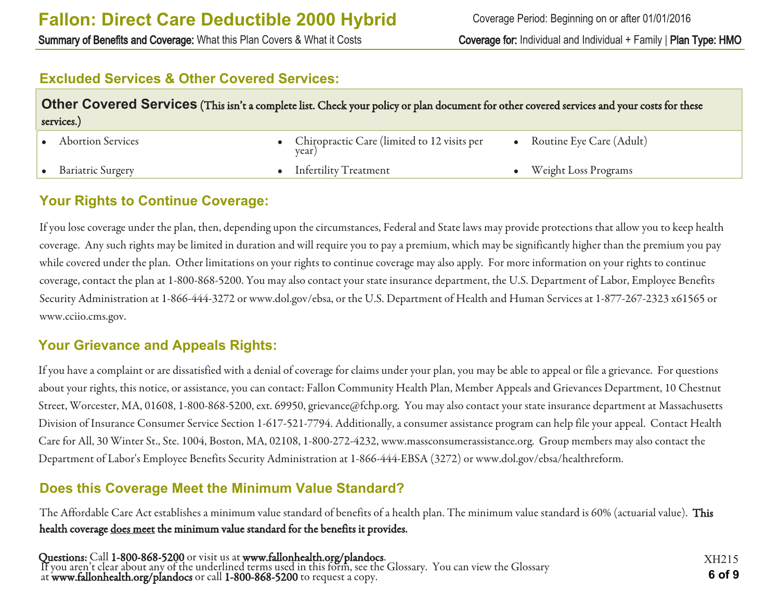Summary of Benefits and Coverage: What this Plan Covers & What it Costs Coverage for: Individual and Individual + Family | Plan Type: HMO

### **Excluded Services & Other Covered Services:**

| Other Covered Services (This isn't a complete list. Check your policy or plan document for other covered services and your costs for these<br>services.) |  |                                                        |  |                             |  |
|----------------------------------------------------------------------------------------------------------------------------------------------------------|--|--------------------------------------------------------|--|-----------------------------|--|
| <b>Abortion Services</b>                                                                                                                                 |  | • Chiropractic Care (limited to 12 visits per<br>year) |  | Routine Eye Care (Adult)    |  |
| <b>Bariatric Surgery</b>                                                                                                                                 |  | • Infertility Treatment                                |  | <b>Weight Loss Programs</b> |  |

### **Your Rights to Continue Coverage:**

If you lose coverage under the plan, then, depending upon the circumstances, Federal and State laws may provide protections that allow you to keep health coverage. Any such rights may be limited in duration and will require you to pay a premium, which may be significantly higher than the premium you pay while covered under the plan. Other limitations on your rights to continue coverage may also apply. For more information on your rights to continue coverage, contact the plan at 1-800-868-5200. You may also contact your state insurance department, the U.S. Department of Labor, Employee Benefits Security Administration at 1-866-444-3272 or www.dol.gov/ebsa, or the U.S. Department of Health and Human Services at 1-877-267-2323 x61565 or www.cciio.cms.gov.

### **Your Grievance and Appeals Rights:**

If you have a complaint or are dissatisfied with a denial of coverage for claims under your plan, you may be able to appeal or file a grievance. For questions about your rights, this notice, or assistance, you can contact: Fallon Community Health Plan, Member Appeals and Grievances Department, 10 Chestnut Street, Worcester, MA, 01608, 1-800-868-5200, ext. 69950, grievance@fchp.org. You may also contact your state insurance department at Massachusetts Division of Insurance Consumer Service Section 1-617-521-7794. Additionally, a consumer assistance program can help file your appeal. Contact Health Care for All, 30 Winter St., Ste. 1004, Boston, MA, 02108, 1-800-272-4232, www.massconsumerassistance.org. Group members may also contact the Department of Labor's Employee Benefits Security Administration at 1-866-444-EBSA (3272) or www.dol.gov/ebsa/healthreform.

## **Does this Coverage Meet the Minimum Value Standard?**

The Affordable Care Act establishes a minimum value standard of benefits of a health plan. The minimum value standard is 60% (actuarial value). This health coverage does meet the minimum value standard for the benefits it provides.

Questions: Call 1-800-868-5200 or visit us at www.fallonhealth.org/plandocs. If you aren't clear about any of the underlined terms used in this form, see the Glossary. You can view the Glossary at www.fallonhealth.org/plandocs or call 1-800-868-5200 to request a copy. **6 of 9**

XH215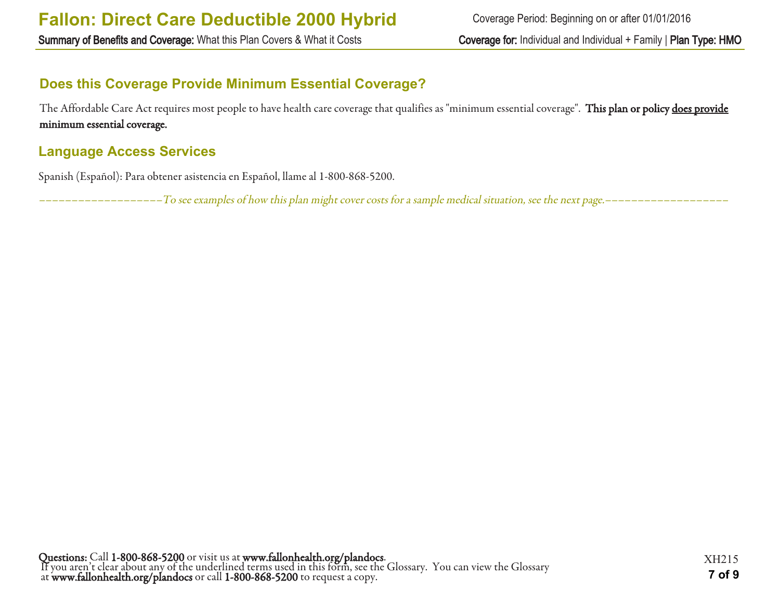Summary of Benefits and Coverage: What this Plan Covers & What it Costs Coverage for: Individual and Individual + Family | Plan Type: HMO

## **Does this Coverage Provide Minimum Essential Coverage?**

The Affordable Care Act requires most people to have health care coverage that qualifies as "minimum essential coverage". This plan or policy does provide minimum essential coverage.

## **Language Access Services**

Spanish (Español): Para obtener asistencia en Español, llame al 1-800-868-5200.

–––––––––––––––––––To see examples of how this plan might cover costs for a sample medical situation, see the next page.–––––––––––––––––––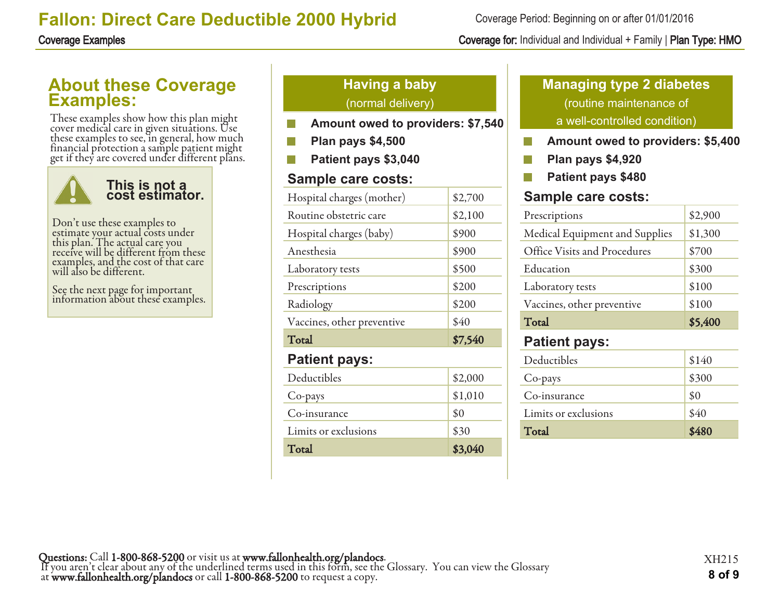## **About these Coverage Examples:**

These examples show how this plan might cover medical care in given situations. Use these examples to see, in general, how much financial protection a sample patient might get if they are covered under different plans.



Don't use these examples to estimate your actual costs under this plan. The actual care you receive will be different from these examples, and the cost of that care will also be different.

See the next page for important information about these examples.

## **Having a baby** (normal delivery)

- **Amount owed to providers: \$7,540**
- **Plan pays \$4,500**
- **Patient pays \$3,040**

### **Sample care costs:**

| Hospital charges (mother)  | \$2,700 |
|----------------------------|---------|
| Routine obstetric care     | \$2,100 |
| Hospital charges (baby)    | \$900   |
| Anesthesia                 | \$900   |
| Laboratory tests           | \$500   |
| Prescriptions              | \$200   |
| Radiology                  | \$200   |
| Vaccines, other preventive | \$40    |
| Total                      | \$7,540 |
| <b>Patient pays:</b>       |         |
| Deductibles                | \$2,000 |
| Co-pays                    | \$1,010 |
| Co-insurance               | \$0     |
| Limits or exclusions       | \$30    |
| Total                      | \$3,040 |

## **Managing type 2 diabetes** (routine maintenance of a well-controlled condition)

- **Amount owed to providers: \$5,400** F.
- $\mathcal{C}^{\mathcal{C}}$ **Plan pays \$4,920**
- **Patient pays \$480** P.

### **Sample care costs:**

| Prescriptions                  | \$2,900 |
|--------------------------------|---------|
| Medical Equipment and Supplies | \$1,300 |
| Office Visits and Procedures   | \$700   |
| Education                      | \$300   |
| Laboratory tests               | \$100   |
| Vaccines, other preventive     | \$100   |
| Total                          | \$5,400 |
| <b>Patient pays:</b>           |         |
| Deductibles                    | \$140   |
| Co-pays                        | \$300   |
| Co-insurance                   | \$0     |

Limits or exclusions  $840$ Total \$480

Coverage Period: Beginning on or after 01/01/2016

### Coverage Examples Coverage for: Individual and Individual + Family | Plan Type: HMO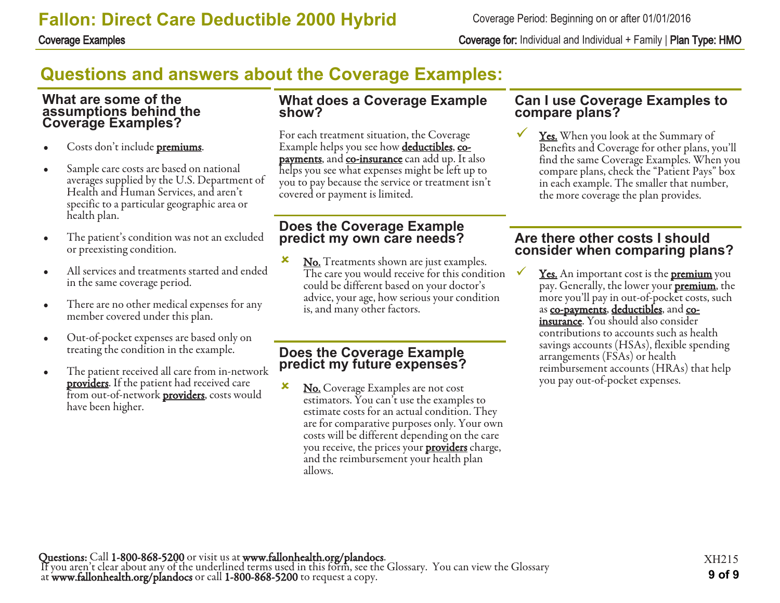Coverage Examples Coverage for: Individual and Individual + Family | Plan Type: HMO

# **Questions and answers about the Coverage Examples:**

#### **What are some of the assumptions behind the Coverage Examples?**

- Costs don't include **premiums**.
- Sample care costs are based on national averages supplied by the U.S. Department of Health and Human Services, and aren't specific to a particular geographic area or health plan.
- The patient's condition was not an excluded or preexisting condition.
- All services and treatments started and ended in the same coverage period.
- There are no other medical expenses for any member covered under this plan.
- Out-of-pocket expenses are based only on treating the condition in the example.
- The patient received all care from in-network **providers**. If the patient had received care from out-of-network **providers**, costs would have been higher.

#### **What does a Coverage Example show?**

For each treatment situation, the Coverage Example helps you see how **deductibles**, copayments, and co-insurance can add up. It also helps you see what expenses might be left up to you to pay because the service or treatment isn't covered or payment is limited.

### **Does the Coverage Example predict my own care needs?**

**x** No. Treatments shown are just examples. The care you would receive for this condition could be different based on your doctor's advice, your age, how serious your condition is, and many other factors.

### **Does the Coverage Example predict my future expenses?**

**x** No. Coverage Examples are not cost estimators. You can't use the examples to estimate costs for an actual condition. They are for comparative purposes only. Your own costs will be different depending on the care you receive, the prices your **providers** charge, and the reimbursement your health plan allows.

#### **Can I use Coverage Examples to compare plans?**

Yes. When you look at the Summary of Benefits and Coverage for other plans, you'll find the same Coverage Examples. When you compare plans, check the "Patient Pays" box in each example. The smaller that number, the more coverage the plan provides.

### **Are there other costs I should consider when comparing plans?**

**<u>Yes.</u>** An important cost is the **premium** you pay. Generally, the lower your **premium**, the more you'll pay in out-of-pocket costs, such as co-payments, deductibles, and coinsurance. You should also consider contributions to accounts such as health savings accounts (HSAs), flexible spending arrangements (FSAs) or health reimbursement accounts (HRAs) that help you pay out-of-pocket expenses.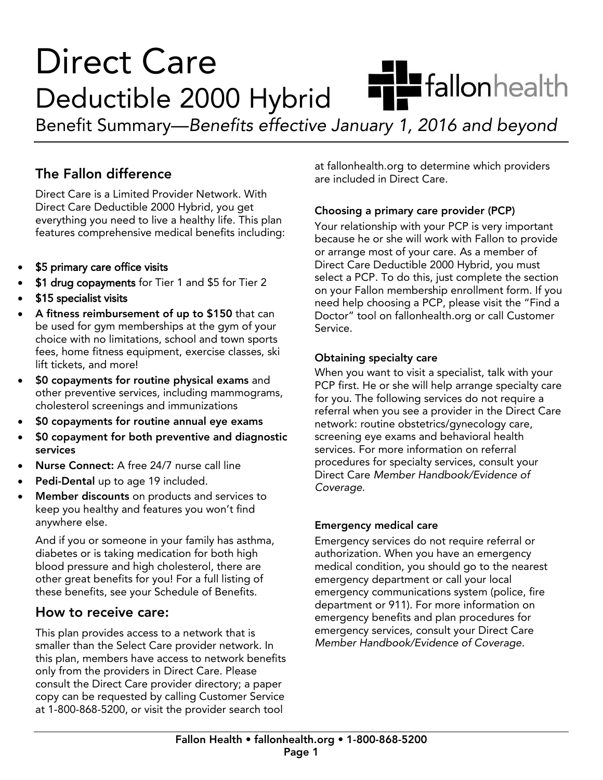# **Direct Care Humbers** fallon health Deductible 2000 Hybrid

Benefit Summary—Benefits effective  $\mathcal{B}$  summary 1, 2016 and between January 1, 2016 and beyond beyond beyond beyond beyond beyond beyond beyond beyond  $\mathcal{B}$ 

## The Fallon difference

Direct Care is a Limited Provider Network. With Direct Care Deductible 2000 Hybrid, you get everything you need to live a healthy life. This plan everything you allow marked to live a health including. features comprehensive medical benefits including:

- \$5 primary care office visits
- \$1 drug copayments for Tier 1 and \$5 for Tier 2
- \$15 specialist visits
- **A fitness reimbursement of up to \$150** that can<br>be used for gym memberships at the gym of your choice with no limitations, school and town sports fees, home fitness equipment, exercise classes, ski lift tickets, and more!
- **SO copayments for routine physical exams** and<br>
other preventive services including mammogram other preventive services, including mammograms,
- **\$0 copayments for routine annual eye exams**<br> **\*0 copayments for routine annual eye exams**
- \$0 copayment for both preventive and diagnostic<br>services
- Nurse Connect: A free 24/7 nurse call line
- Pedi-Dental up to age 19 included.
- Member discounts on products and services to<br>keep you healthy and features you won't find anywhere else.

And if you or someone in your family has asthma, diabetes or is taking medication for both high blood pressure and high cholesterol, there are other great benefits for you! For a full listing of these benefits, see your Schedule of Benefits. these benefits, see your Schedule of Benefits.

**How to receive care:**<br>This plan provides access to a network that is smaller than the Select Care provider network. In this plan, members have access to network benefits. only from the providers in Direct Care. Please consult the Direct Care provider directory; a paper copy can be requested by calling Customer Service  $\frac{1}{2}$  compared by calling  $\frac{1}{2}$  calling  $\frac{1}{2}$  calling  $\frac{1}{2}$  calling  $\frac{1}{2}$  calling  $\frac{1}{2}$  calling  $\frac{1}{2}$  calling  $\frac{1}{2}$  calling  $\frac{1}{2}$  calling  $\frac{1}{2}$  calling  $\frac{1}{2}$  calling  $\frac{1}{2}$  c at 1-800-868-5200, or visit the provider search tool

at fallonhealth.org to determine which providers<br>are included in Direct Care. are included in Direct Care.

**Choosing a primary care provider (PCP)**<br>Your relationship with your PCP is very important because he or she will work with Fallon to provide or arrange most of your care. As a member of Direct Care Deductible 2000 Hybrid, you must select a PCP. To do this, just complete the section on your Fallon membership enrollment form. If you need help choosing a PCP, please visit the "Find a need the choosing choosing the choosing process the material contains a Postomarch in Portomarch . Doctor" tool on fallonhealth.org or call Customer Service.

Obtaining specialty care<br>When you want to visit a specialist, talk with your PCP first. He or she will help arrange specialty care for you. The following services do not require a referral when you see a provider in the Direct Care network: routine obstetrics/gynecology care, screening eye exams and behavioral health services. For more information on referral procedures for specialty services, consult your Direct Care Member Handbook/Evidence of En die die Afrikaanse Handbook/Erichter of<br>Coverage Coverage.

**Emergency medical care**<br>Emergency services do not require referral or authorization. When you have an emergency medical condition, you should go to the nearest emergency department or call your local emergency communications system (police, fire department or 911). For more information on emergency benefits and plan procedures for emergency services, consult your Direct Care emergency services, consult your Direct Care<br>Member Handbook/Evidence of Coverage Member Handbook/Evidence of Coverage.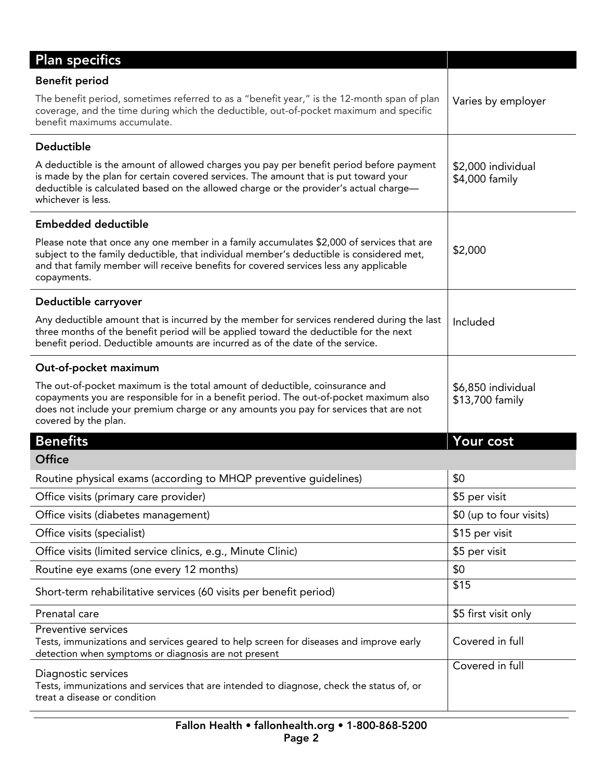| <b>Plan specifics</b>                                                                                                                                                                                                                                                                          |                                       |
|------------------------------------------------------------------------------------------------------------------------------------------------------------------------------------------------------------------------------------------------------------------------------------------------|---------------------------------------|
| <b>Benefit period</b>                                                                                                                                                                                                                                                                          |                                       |
| The benefit period, sometimes referred to as a "benefit year," is the 12-month span of plan<br>coverage, and the time during which the deductible, out-of-pocket maximum and specific<br>benefit maximums accumulate.                                                                          | Varies by employer                    |
| <b>Deductible</b>                                                                                                                                                                                                                                                                              |                                       |
| A deductible is the amount of allowed charges you pay per benefit period before payment<br>is made by the plan for certain covered services. The amount that is put toward your<br>deductible is calculated based on the allowed charge or the provider's actual charge—<br>whichever is less. | \$2,000 individual<br>\$4,000 family  |
| <b>Embedded deductible</b>                                                                                                                                                                                                                                                                     |                                       |
| Please note that once any one member in a family accumulates \$2,000 of services that are<br>subject to the family deductible, that individual member's deductible is considered met,<br>and that family member will receive benefits for covered services less any applicable<br>copayments.  | \$2,000                               |
| Deductible carryover                                                                                                                                                                                                                                                                           |                                       |
| Any deductible amount that is incurred by the member for services rendered during the last<br>three months of the benefit period will be applied toward the deductible for the next<br>benefit period. Deductible amounts are incurred as of the date of the service.                          | Included                              |
| Out-of-pocket maximum                                                                                                                                                                                                                                                                          |                                       |
| The out-of-pocket maximum is the total amount of deductible, coinsurance and<br>copayments you are responsible for in a benefit period. The out-of-pocket maximum also<br>does not include your premium charge or any amounts you pay for services that are not<br>covered by the plan.        | \$6,850 individual<br>\$13,700 family |
| <b>Benefits</b>                                                                                                                                                                                                                                                                                | Your cost                             |
| <b>Office</b>                                                                                                                                                                                                                                                                                  |                                       |
| Routine physical exams (according to MHQP preventive guidelines)                                                                                                                                                                                                                               | \$0                                   |
| Office visits (primary care provider)                                                                                                                                                                                                                                                          | \$5 per visit                         |
| Office visits (diabetes management)                                                                                                                                                                                                                                                            | \$0 (up to four visits)               |
| Office visits (specialist)                                                                                                                                                                                                                                                                     | \$15 per visit                        |
| Office visits (limited service clinics, e.g., Minute Clinic)                                                                                                                                                                                                                                   | \$5 per visit                         |
| Routine eye exams (one every 12 months)                                                                                                                                                                                                                                                        | \$0                                   |
| Short-term rehabilitative services (60 visits per benefit period)                                                                                                                                                                                                                              | \$15                                  |
| Prenatal care                                                                                                                                                                                                                                                                                  | \$5 first visit only                  |
| Preventive services<br>Tests, immunizations and services geared to help screen for diseases and improve early<br>detection when symptoms or diagnosis are not present                                                                                                                          | Covered in full                       |
| Diagnostic services<br>Tests, immunizations and services that are intended to diagnose, check the status of, or<br>treat a disease or condition                                                                                                                                                | Covered in full                       |

I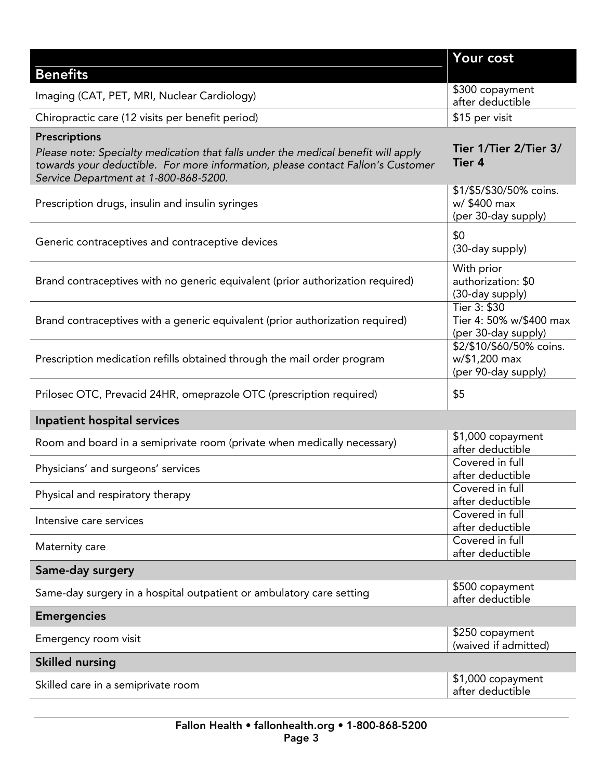| <b>Benefits</b>                                                                                                                                                                                                                       | Your cost                                                        |
|---------------------------------------------------------------------------------------------------------------------------------------------------------------------------------------------------------------------------------------|------------------------------------------------------------------|
| Imaging (CAT, PET, MRI, Nuclear Cardiology)                                                                                                                                                                                           | \$300 copayment<br>after deductible                              |
| Chiropractic care (12 visits per benefit period)                                                                                                                                                                                      | \$15 per visit                                                   |
| <b>Prescriptions</b><br>Please note: Specialty medication that falls under the medical benefit will apply<br>towards your deductible. For more information, please contact Fallon's Customer<br>Service Department at 1-800-868-5200. | Tier 1/Tier 2/Tier 3/<br>Tier 4                                  |
| Prescription drugs, insulin and insulin syringes                                                                                                                                                                                      | \$1/\$5/\$30/50% coins.<br>w/ \$400 max<br>(per 30-day supply)   |
| Generic contraceptives and contraceptive devices                                                                                                                                                                                      | \$0<br>(30-day supply)                                           |
| Brand contraceptives with no generic equivalent (prior authorization required)                                                                                                                                                        | With prior<br>authorization: \$0<br>(30-day supply)              |
| Brand contraceptives with a generic equivalent (prior authorization required)                                                                                                                                                         | Tier 3: \$30<br>Tier 4: 50% w/\$400 max<br>(per 30-day supply)   |
| Prescription medication refills obtained through the mail order program                                                                                                                                                               | \$2/\$10/\$60/50% coins.<br>w/\$1,200 max<br>(per 90-day supply) |
| Prilosec OTC, Prevacid 24HR, omeprazole OTC (prescription required)                                                                                                                                                                   | \$5                                                              |
| Inpatient hospital services                                                                                                                                                                                                           |                                                                  |
| Room and board in a semiprivate room (private when medically necessary)                                                                                                                                                               | \$1,000 copayment<br>after deductible                            |
| Physicians' and surgeons' services                                                                                                                                                                                                    | Covered in full<br>after deductible                              |
| Physical and respiratory therapy                                                                                                                                                                                                      | Covered in full<br>after deductible                              |
| Intensive care services                                                                                                                                                                                                               | Covered in full<br>after deductible                              |
| Maternity care                                                                                                                                                                                                                        | Covered in full<br>after deductible                              |
| Same-day surgery                                                                                                                                                                                                                      |                                                                  |
| Same-day surgery in a hospital outpatient or ambulatory care setting                                                                                                                                                                  | \$500 copayment<br>after deductible                              |
| <b>Emergencies</b>                                                                                                                                                                                                                    |                                                                  |
| Emergency room visit                                                                                                                                                                                                                  | \$250 copayment<br>(waived if admitted)                          |
| <b>Skilled nursing</b>                                                                                                                                                                                                                |                                                                  |
| Skilled care in a semiprivate room                                                                                                                                                                                                    | \$1,000 copayment<br>after deductible                            |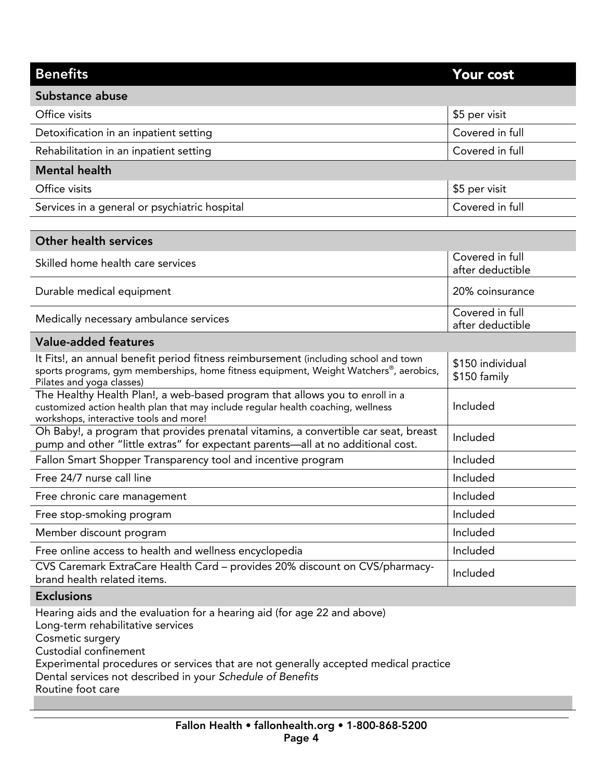| <b>Benefits</b>                                                                                                                                                                                                                                                                                                                       | Your cost                           |
|---------------------------------------------------------------------------------------------------------------------------------------------------------------------------------------------------------------------------------------------------------------------------------------------------------------------------------------|-------------------------------------|
| Substance abuse                                                                                                                                                                                                                                                                                                                       |                                     |
| Office visits                                                                                                                                                                                                                                                                                                                         | \$5 per visit                       |
| Detoxification in an inpatient setting                                                                                                                                                                                                                                                                                                | Covered in full                     |
| Rehabilitation in an inpatient setting                                                                                                                                                                                                                                                                                                | Covered in full                     |
| <b>Mental health</b>                                                                                                                                                                                                                                                                                                                  |                                     |
| Office visits                                                                                                                                                                                                                                                                                                                         | \$5 per visit                       |
| Services in a general or psychiatric hospital                                                                                                                                                                                                                                                                                         | Covered in full                     |
|                                                                                                                                                                                                                                                                                                                                       |                                     |
| <b>Other health services</b>                                                                                                                                                                                                                                                                                                          |                                     |
| Skilled home health care services                                                                                                                                                                                                                                                                                                     | Covered in full<br>after deductible |
| Durable medical equipment                                                                                                                                                                                                                                                                                                             | 20% coinsurance                     |
| Medically necessary ambulance services                                                                                                                                                                                                                                                                                                | Covered in full<br>after deductible |
| <b>Value-added features</b>                                                                                                                                                                                                                                                                                                           |                                     |
| It Fits!, an annual benefit period fitness reimbursement (including school and town<br>sports programs, gym memberships, home fitness equipment, Weight Watchers®, aerobics,<br>Pilates and yoga classes)                                                                                                                             | \$150 individual<br>\$150 family    |
| The Healthy Health Plan!, a web-based program that allows you to enroll in a<br>customized action health plan that may include regular health coaching, wellness<br>workshops, interactive tools and more!                                                                                                                            | Included                            |
| Oh Baby!, a program that provides prenatal vitamins, a convertible car seat, breast<br>pump and other "little extras" for expectant parents-all at no additional cost.                                                                                                                                                                | Included                            |
| Fallon Smart Shopper Transparency tool and incentive program                                                                                                                                                                                                                                                                          | Included                            |
| Free 24/7 nurse call line                                                                                                                                                                                                                                                                                                             | Included                            |
| Free chronic care management                                                                                                                                                                                                                                                                                                          | Included                            |
| Free stop-smoking program                                                                                                                                                                                                                                                                                                             | Included                            |
| Member discount program                                                                                                                                                                                                                                                                                                               | Included                            |
| Free online access to health and wellness encyclopedia                                                                                                                                                                                                                                                                                | Included                            |
| CVS Caremark ExtraCare Health Card - provides 20% discount on CVS/pharmacy-<br>brand health related items.                                                                                                                                                                                                                            | Included                            |
| <b>Exclusions</b>                                                                                                                                                                                                                                                                                                                     |                                     |
| Hearing aids and the evaluation for a hearing aid (for age 22 and above)<br>Long-term rehabilitative services<br>Cosmetic surgery<br>Custodial confinement<br>Experimental procedures or services that are not generally accepted medical practice<br>Dental services not described in your Schedule of Benefits<br>Routine foot care |                                     |
|                                                                                                                                                                                                                                                                                                                                       |                                     |